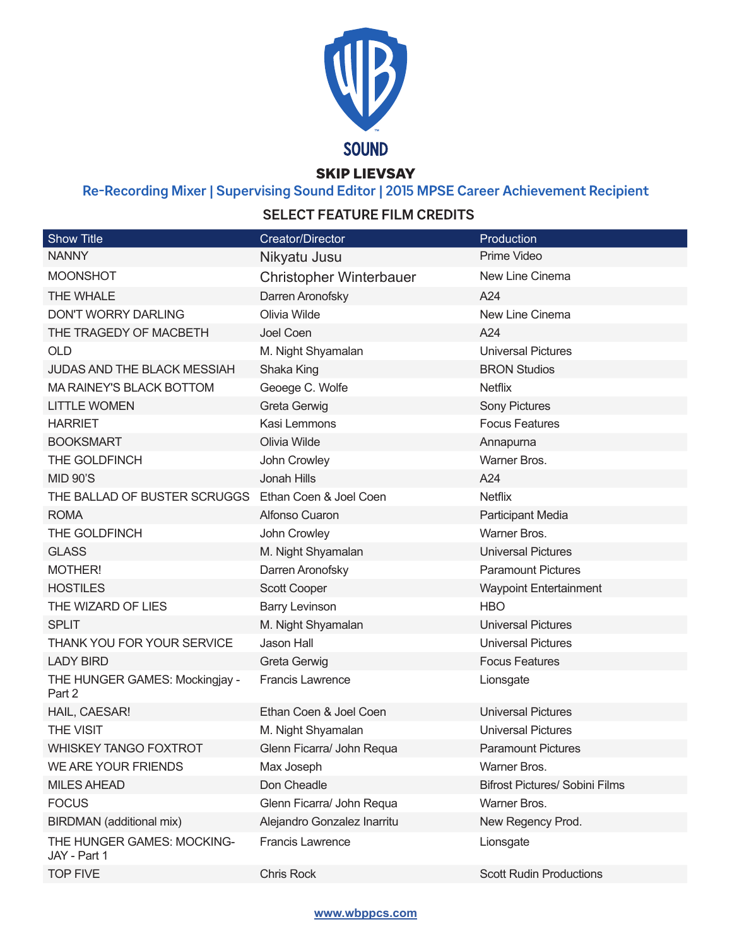

SKIP LIEVSAY

# **Re-Recording Mixer | Supervising Sound Editor | 2015 MPSE Career Achievement Recipient**

## **SELECT FEATURE FILM CREDITS**

| <b>Show Title</b>                                   | <b>Creator/Director</b>     | Production                            |
|-----------------------------------------------------|-----------------------------|---------------------------------------|
| <b>NANNY</b>                                        | Nikyatu Jusu                | Prime Video                           |
| <b>MOONSHOT</b>                                     | Christopher Winterbauer     | New Line Cinema                       |
| THE WHALE                                           | Darren Aronofsky            | A24                                   |
| <b>DON'T WORRY DARLING</b>                          | Olivia Wilde                | New Line Cinema                       |
| THE TRAGEDY OF MACBETH                              | Joel Coen                   | A24                                   |
| <b>OLD</b>                                          | M. Night Shyamalan          | <b>Universal Pictures</b>             |
| <b>JUDAS AND THE BLACK MESSIAH</b>                  | Shaka King                  | <b>BRON Studios</b>                   |
| MA RAINEY'S BLACK BOTTOM                            | Geoege C. Wolfe             | <b>Netflix</b>                        |
| <b>LITTLE WOMEN</b>                                 | <b>Greta Gerwig</b>         | <b>Sony Pictures</b>                  |
| <b>HARRIET</b>                                      | Kasi Lemmons                | <b>Focus Features</b>                 |
| <b>BOOKSMART</b>                                    | Olivia Wilde                | Annapurna                             |
| THE GOLDFINCH                                       | John Crowley                | Warner Bros.                          |
| <b>MID 90'S</b>                                     | Jonah Hills                 | A24                                   |
| THE BALLAD OF BUSTER SCRUGGS Ethan Coen & Joel Coen |                             | <b>Netflix</b>                        |
| <b>ROMA</b>                                         | Alfonso Cuaron              | Participant Media                     |
| THE GOLDFINCH                                       | John Crowley                | Warner Bros.                          |
| <b>GLASS</b>                                        | M. Night Shyamalan          | <b>Universal Pictures</b>             |
| MOTHER!                                             | Darren Aronofsky            | <b>Paramount Pictures</b>             |
| <b>HOSTILES</b>                                     | <b>Scott Cooper</b>         | <b>Waypoint Entertainment</b>         |
| THE WIZARD OF LIES                                  | <b>Barry Levinson</b>       | <b>HBO</b>                            |
| <b>SPLIT</b>                                        | M. Night Shyamalan          | <b>Universal Pictures</b>             |
| THANK YOU FOR YOUR SERVICE                          | <b>Jason Hall</b>           | <b>Universal Pictures</b>             |
| <b>LADY BIRD</b>                                    | <b>Greta Gerwig</b>         | <b>Focus Features</b>                 |
| THE HUNGER GAMES: Mockingjay -<br>Part 2            | <b>Francis Lawrence</b>     | Lionsgate                             |
| HAIL, CAESAR!                                       | Ethan Coen & Joel Coen      | <b>Universal Pictures</b>             |
| THE VISIT                                           | M. Night Shyamalan          | <b>Universal Pictures</b>             |
| <b>WHISKEY TANGO FOXTROT</b>                        | Glenn Ficarra/ John Requa   | <b>Paramount Pictures</b>             |
| WE ARE YOUR FRIENDS                                 | Max Joseph                  | Warner Bros.                          |
| <b>MILES AHEAD</b>                                  | Don Cheadle                 | <b>Bifrost Pictures/ Sobini Films</b> |
| <b>FOCUS</b>                                        | Glenn Ficarra/ John Requa   | Warner Bros.                          |
| BIRDMAN (additional mix)                            | Alejandro Gonzalez Inarritu | New Regency Prod.                     |
| THE HUNGER GAMES: MOCKING-<br>JAY - Part 1          | <b>Francis Lawrence</b>     | Lionsgate                             |
| <b>TOP FIVE</b>                                     | <b>Chris Rock</b>           | <b>Scott Rudin Productions</b>        |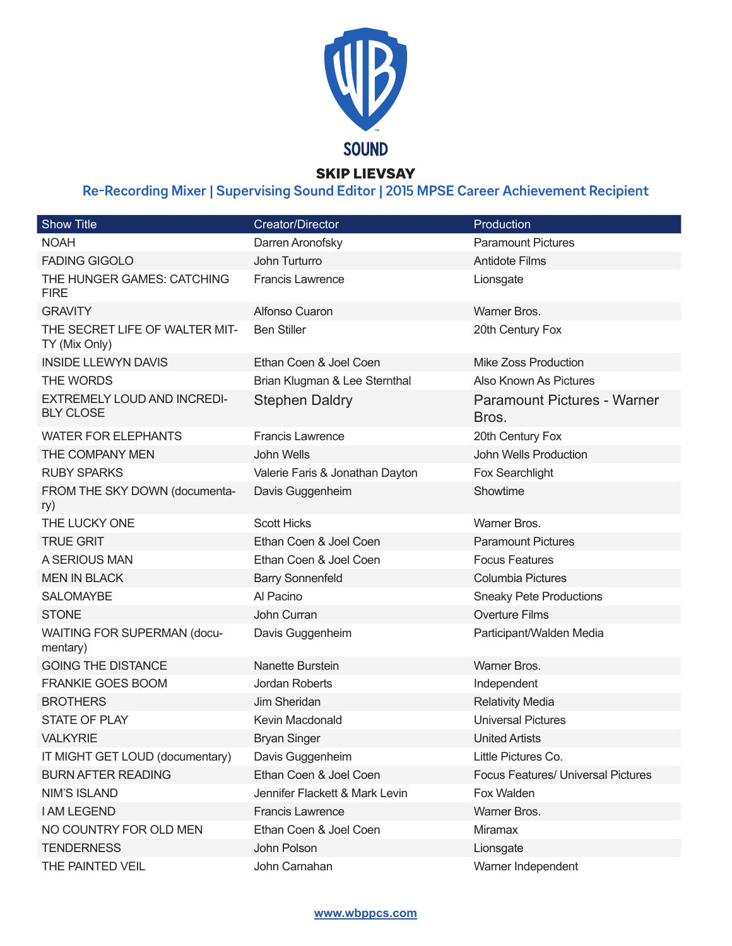

### SKIP LIEVSAY

# **Re-Recording Mixer | Supervising Sound Editor | 2015 MPSE Career Achievement Recipient**

| Show Title                                             | Creator/Director                | Production                                  |
|--------------------------------------------------------|---------------------------------|---------------------------------------------|
| <b>NOAH</b>                                            | Darren Aronofsky                | <b>Paramount Pictures</b>                   |
| <b>FADING GIGOLO</b>                                   | John Turturro                   | <b>Antidote Films</b>                       |
| THE HUNGER GAMES: CATCHING<br><b>FIRE</b>              | <b>Francis Lawrence</b>         | Lionsgate                                   |
| <b>GRAVITY</b>                                         | Alfonso Cuaron                  | Warner Bros.                                |
| THE SECRET LIFE OF WALTER MIT-<br>TY (Mix Only)        | <b>Ben Stiller</b>              | 20th Century Fox                            |
| <b>INSIDE LLEWYN DAVIS</b>                             | Ethan Coen & Joel Coen          | <b>Mike Zoss Production</b>                 |
| THE WORDS                                              | Brian Klugman & Lee Sternthal   | Also Known As Pictures                      |
| <b>EXTREMELY LOUD AND INCREDI-</b><br><b>BLY CLOSE</b> | <b>Stephen Daldry</b>           | <b>Paramount Pictures - Warner</b><br>Bros. |
| <b>WATER FOR ELEPHANTS</b>                             | <b>Francis Lawrence</b>         | 20th Century Fox                            |
| THE COMPANY MEN                                        | John Wells                      | John Wells Production                       |
| <b>RUBY SPARKS</b>                                     | Valerie Faris & Jonathan Dayton | Fox Searchlight                             |
| FROM THE SKY DOWN (documenta-<br>ry)                   | Davis Guggenheim                | Showtime                                    |
| THE LUCKY ONE                                          | <b>Scott Hicks</b>              | Warner Bros.                                |
| <b>TRUE GRIT</b>                                       | Ethan Coen & Joel Coen          | <b>Paramount Pictures</b>                   |
| A SERIOUS MAN                                          | Ethan Coen & Joel Coen          | <b>Focus Features</b>                       |
| <b>MEN IN BLACK</b>                                    | <b>Barry Sonnenfeld</b>         | <b>Columbia Pictures</b>                    |
| <b>SALOMAYBE</b>                                       | Al Pacino                       | <b>Sneaky Pete Productions</b>              |
| <b>STONE</b>                                           | John Curran                     | <b>Overture Films</b>                       |
| <b>WAITING FOR SUPERMAN (docu-</b><br>mentary)         | Davis Guggenheim                | Participant/Walden Media                    |
| <b>GOING THE DISTANCE</b>                              | Nanette Burstein                | Warner Bros.                                |
| <b>FRANKIE GOES BOOM</b>                               | Jordan Roberts                  | Independent                                 |
| <b>BROTHERS</b>                                        | Jim Sheridan                    | <b>Relativity Media</b>                     |
| <b>STATE OF PLAY</b>                                   | Kevin Macdonald                 | <b>Universal Pictures</b>                   |
| <b>VALKYRIE</b>                                        | <b>Bryan Singer</b>             | <b>United Artists</b>                       |
| IT MIGHT GET LOUD (documentary)                        | Davis Guggenheim                | Little Pictures Co.                         |
| <b>BURN AFTER READING</b>                              | Ethan Coen & Joel Coen          | <b>Focus Features/ Universal Pictures</b>   |
| <b>NIM'S ISLAND</b>                                    | Jennifer Flackett & Mark Levin  | Fox Walden                                  |
| <b>I AM LEGEND</b>                                     | <b>Francis Lawrence</b>         | Warner Bros.                                |
| NO COUNTRY FOR OLD MEN                                 | Ethan Coen & Joel Coen          | Miramax                                     |
| <b>TENDERNESS</b>                                      | John Polson                     | Lionsgate                                   |
| THE PAINTED VEIL                                       | John Carnahan                   | Warner Independent                          |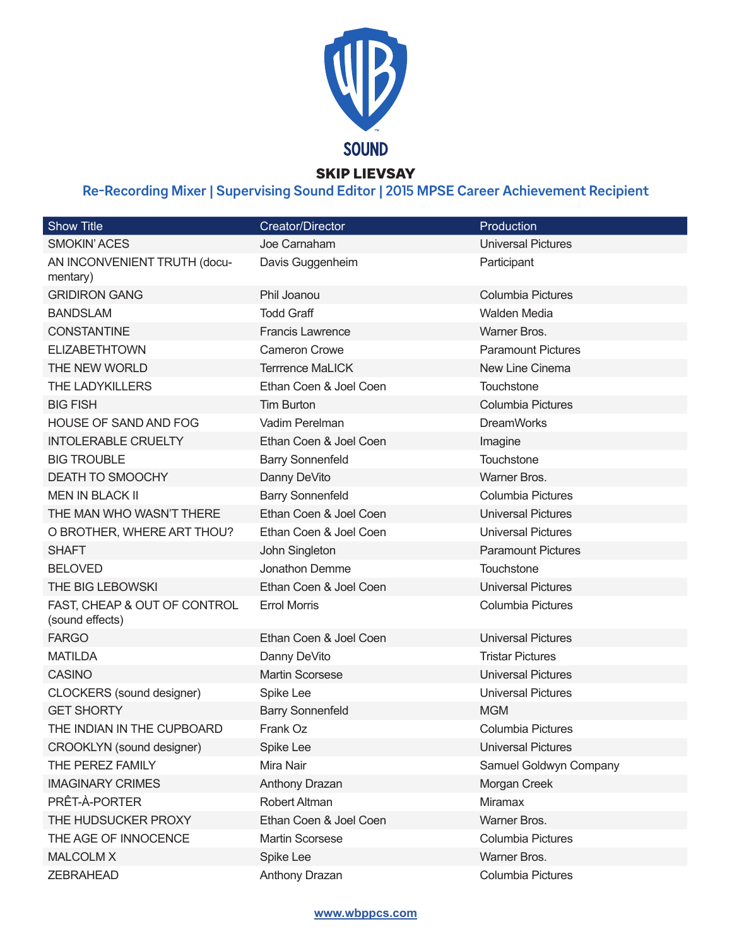

# **Re-Recording Mixer | Supervising Sound Editor | 2015 MPSE Career Achievement Recipient**

| <b>Show Title</b>                               | Creator/Director        | Production                |
|-------------------------------------------------|-------------------------|---------------------------|
| <b>SMOKIN' ACES</b>                             | Joe Carnaham            | <b>Universal Pictures</b> |
| AN INCONVENIENT TRUTH (docu-<br>mentary)        | Davis Guggenheim        | Participant               |
| <b>GRIDIRON GANG</b>                            | Phil Joanou             | <b>Columbia Pictures</b>  |
| <b>BANDSLAM</b>                                 | <b>Todd Graff</b>       | <b>Walden Media</b>       |
| <b>CONSTANTINE</b>                              | <b>Francis Lawrence</b> | Warner Bros.              |
| <b>ELIZABETHTOWN</b>                            | Cameron Crowe           | <b>Paramount Pictures</b> |
| THE NEW WORLD                                   | <b>Terrrence MaLICK</b> | New Line Cinema           |
| <b>THE LADYKILLERS</b>                          | Ethan Coen & Joel Coen  | Touchstone                |
| <b>BIG FISH</b>                                 | <b>Tim Burton</b>       | <b>Columbia Pictures</b>  |
| HOUSE OF SAND AND FOG                           | Vadim Perelman          | <b>DreamWorks</b>         |
| <b>INTOLERABLE CRUELTY</b>                      | Ethan Coen & Joel Coen  | Imagine                   |
| <b>BIG TROUBLE</b>                              | <b>Barry Sonnenfeld</b> | Touchstone                |
| DEATH TO SMOOCHY                                | Danny DeVito            | Warner Bros.              |
| <b>MEN IN BLACK II</b>                          | <b>Barry Sonnenfeld</b> | Columbia Pictures         |
| THE MAN WHO WASN'T THERE                        | Ethan Coen & Joel Coen  | <b>Universal Pictures</b> |
| O BROTHER, WHERE ART THOU?                      | Ethan Coen & Joel Coen  | <b>Universal Pictures</b> |
| <b>SHAFT</b>                                    | John Singleton          | <b>Paramount Pictures</b> |
| <b>BELOVED</b>                                  | Jonathon Demme          | Touchstone                |
| THE BIG LEBOWSKI                                | Ethan Coen & Joel Coen  | <b>Universal Pictures</b> |
| FAST, CHEAP & OUT OF CONTROL<br>(sound effects) | <b>Errol Morris</b>     | <b>Columbia Pictures</b>  |
| <b>FARGO</b>                                    | Ethan Coen & Joel Coen  | <b>Universal Pictures</b> |
| <b>MATILDA</b>                                  | Danny DeVito            | <b>Tristar Pictures</b>   |
| <b>CASINO</b>                                   | <b>Martin Scorsese</b>  | <b>Universal Pictures</b> |
| CLOCKERS (sound designer)                       | Spike Lee               | <b>Universal Pictures</b> |
| <b>GET SHORTY</b>                               | <b>Barry Sonnenfeld</b> | <b>MGM</b>                |
| THE INDIAN IN THE CUPBOARD                      | Frank Oz                | Columbia Pictures         |
| CROOKLYN (sound designer)                       | Spike Lee               | <b>Universal Pictures</b> |
| THE PEREZ FAMILY                                | Mira Nair               | Samuel Goldwyn Company    |
| <b>IMAGINARY CRIMES</b>                         | Anthony Drazan          | Morgan Creek              |
| PRÊT-À-PORTER                                   | Robert Altman           | <b>Miramax</b>            |
| THE HUDSUCKER PROXY                             | Ethan Coen & Joel Coen  | Warner Bros.              |
| THE AGE OF INNOCENCE                            | <b>Martin Scorsese</b>  | Columbia Pictures         |
| <b>MALCOLM X</b>                                | Spike Lee               | Warner Bros.              |
| <b>ZEBRAHEAD</b>                                | Anthony Drazan          | Columbia Pictures         |